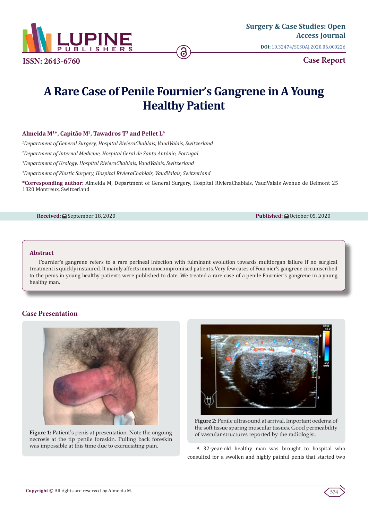

**[Surgery & Case Studies: Open](https://lupinepublishers.com/surgery-case-studies-journal/)  Access Journal DOI:** [10.32474/SCSOAJ.2020.06.0002](http://dx.doi.org/10.32474/SCSOAJ.2020.06.000226)26

**Case Report**

# **A Rare Case of Penile Fournier's Gangrene in A Young Healthy Patient**

# **Almeida M1\*, Capitão M2, Tawadros T3 and Pellet L4**

*1 Department of General Surgery, Hospital RivieraChablais, VaudValais, Switzerland* 

*2 Department of Internal Medicine, Hospital Geral de Santo António, Portugal*

*3 Department of Urology, Hospital RivieraChablais, VaudValais, Switzerland*

*4 Department of Plastic Surgery, Hospital RivieraChablais, VaudValais, Switzerland*

**\*Corresponding author:** Almeida M, Department of General Surgery, Hospital RivieraChablais, VaudValais Avenue de Belmont 25 1820 Montreux, Switzerland

#### **Received:** ■ September 18, 2020 **Published:** ■ October 05, 2020

### **Abstract**

Fournier's gangrene refers to a rare perineal infection with fulminant evolution towards multiorgan failure if no surgical treatment is quickly instaured. It mainly affects immunocompromised patients. Very few cases of Fournier's gangrene circumscribed to the penis in young healthy patients were published to date. We treated a rare case of a penile Fournier's gangrene in a young healthy man.

# **Case Presentation**



**Figure 1:** Patient's penis at presentation. Note the ongoing necrosis at the tip penile foreskin. Pulling back foreskin was impossible at this time due to excruciating pain.



**Figure 2:** Penile ultrasound at arrival. Important oedema of the soft tissue sparing muscular tissues. Good permeability of vascular structures reported by the radiologist.

A 32-year-old healthy man was brought to hospital who consulted for a swollen and highly painful penis that started two

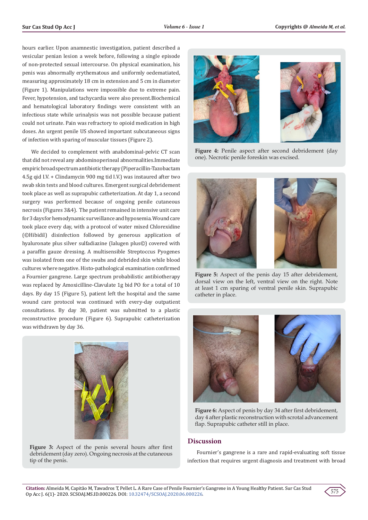hours earlier. Upon anamnestic investigation, patient described a vesicular penian lesion a week before, following a single episode of non-protected sexual intercourse. On physical examination, his penis was abnormally erythematous and uniformly oedematiated, measuring approximately 18 cm in extension and 5 cm in diameter (Figure 1). Manipulations were impossible due to extreme pain. Fever, hypotension, and tachycardia were also present.Biochemical and hematological laboratory findings were consistent with an infectious state while urinalysis was not possible because patient could not urinate. Pain was refractory to opioid medication in high doses. An urgent penile US showed important subcutaneous signs of infection with sparing of muscular tissues (Figure 2).

We decided to complement with anabdominal-pelvic CT scan that did not reveal any abdominoperineal abnormalities.Immediate empiric broad spectrum antibiotic therapy (Piperacillin-Tazobactam 4.5g qid I.V. + Clindamycin 900 mg tid I.V.) was instaured after two swab skin tests and blood cultures. Emergent surgical debridement took place as well as suprapubic catheterization. At day 1, a second surgery was performed because of ongoing penile cutaneous necrosis (Figures 3&4). The patient remained in intensive unit care for 3 days for hemodynamic surveillance and hypoxemia. Wound care took place every day, with a protocol of water mixed Chlorexidine (©Hibidil) disinfection followed by generous application of hyaluronate plus silver sulfadiazine (Ialugen plus©) covered with a paraffin gauze dressing. A multisensible Streptoccus Pyogenes was isolated from one of the swabs and debrided skin while blood cultures where negative. Histo-pathological examination confirmed a Fournier gangrene. Large spectrum probabilistic antibiotherapy was replaced by Amoxicilline-Clavulate 1g bid PO for a total of 10 days. By day 15 (Figure 5), patient left the hospital and the same wound care protocol was continued with every-day outpatient consultations. By day 30, patient was submitted to a plastic reconstructive procedure (Figure 6). Suprapubic catheterization was withdrawn by day 36.



**Figure 3:** Aspect of the penis several hours after first debridement (day zero). Ongoing necrosis at the cutaneous tip of the penis.



**Figure 4:** Penile aspect after second debridement (day one). Necrotic penile foreskin was excised.



**Figure 5:** Aspect of the penis day 15 after debridement, dorsal view on the left, ventral view on the right. Note at least 1 cm sparing of ventral penile skin. Suprapubic catheter in place.



**Figure 6:** Aspect of penis by day 34 after first debridement, day 4 after plastic reconstruction with scrotal advancement flap. Suprapubic catheter still in place.

### **Discussion**

Fournier's gangrene is a rare and rapid-evaluating soft tissue infection that requires urgent diagnosis and treatment with broad